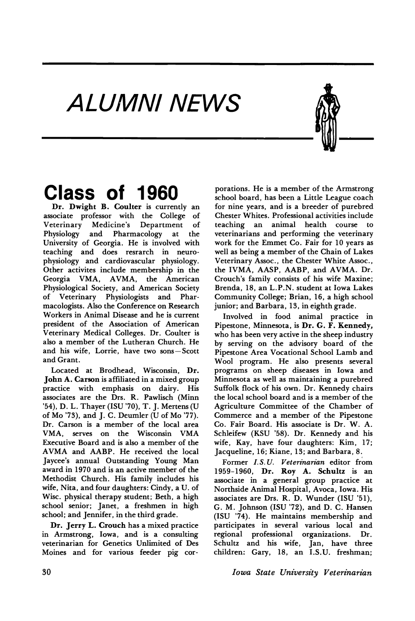## ALUMNI NEWS



Dr. Dwight B. Coulter is currently an associate professor with the College of Veterinary Medicine's Department of Physiology and Pharmacology at the University of Georgia. He is involved with teaching and does resrarch in neurophysiology and cardiovascular physiology. Other activites include membership in the Georgia VMA, AVMA, the American Physiological Society, and American Society of Veterinary Physiologists and Pharmacologists. Also the Conference on Research Workers in Animal Disease and he is current president of the Association of American Veterinary Medical Colleges. Dr. Coulter is also a member of the Lutheran Church. He and his wife, Lorrie, have two sons-Scott and Grant.

Located at Brodhead, Wisconsin, Dr. John A. Carson is affiliated in a mixed group practice with emphasis on dairy. His associates are the Drs. R. Pawlisch (Minn '54), D. L. Thayer (ISU '70), T. J. Mertens (U of Mo '73), and J. C. Deumler (U of Mo '77). Dr. Carson is a member of the local area VMA, serves on the Wisconsin VMA Executive Board and is also a member of the AVMA and AABP. He received the local Jaycee's annual Outstanding Young Man award in 1970 and is an active member of the Methodist Church. His family includes his wife, Nita, and four daughters: Cindy, a U. of Wise. physical therapy student; Beth, a high school senior; Janet, a freshmen in high school; and Jennifer, in the third grade.

Dr. Jerry L. Crouch has a mixed practice in Armstrong, Iowa, and is a consulting veterinarian for Genetics Unlimited of Des Moines and for various feeder pig cor-

**Class of 1960** porations. He is <sup>a</sup> member of the Armstrong school board, has been a Little League coach for nine years, and is a breeder of purebred Chester Whites. Professional activities include teaching an animal health course to veterinarians and performing the veterinary work for the Emmet Co. Fair for 10 years as well as being a member of the Chain of Lakes Veterinary Assoc., the Chester White Assoc., the IVMA, AASP, AABP, and AVMA. Dr. Crouch's family consists of his wife Maxine; Brenda, 18, an L.P.N. student at Iowa Lakes Community College; Brian, 16, a high school junior; and Barbara, 13, in eighth grade.

> Involved in food animal practice in Pipestone, Minnesota, is Dr. G. F. Kennedy, who has been very active in the sheep industry by serving on the advisory board of the Pipestone Area Vocational School Lamb and Wool program. He also presents several programs on sheep diseases in Iowa and Minnesota as well as maintaining a purebred Suffolk flock of his own. Dr. Kennedy chairs the local school board and is a member of the Agriculture Committee of the Chamber of Commerce and a member of the Pipestone Co. Fair Board. His associate is Dr. W. A. Schleifew (KSU '58). Dr. Kennedy and his wife, Kay, have four daughters: Kim, 17; Jacqueline, 16; Kiane, 13; and Barbara, 8.

> Former *I.S.U. Veterinarian* editor from 1959-1960, Dr. Roy A. Schultz is an associate in a general group practice at Northside Animal Hospital, Avoca, Iowa. His associates are Drs. R. D. Wunder (ISU '51), G. M. Johnson (ISU '72), and D. C. Hansen (ISU '74). He maintains membership and participates in several various local and regional professional organizations. Dr. Schultz and his wife, Jan, have three children: Gary, 18, an I.S.U. freshman;

30 *Iowa State Unz·versity Veterz·narz"an*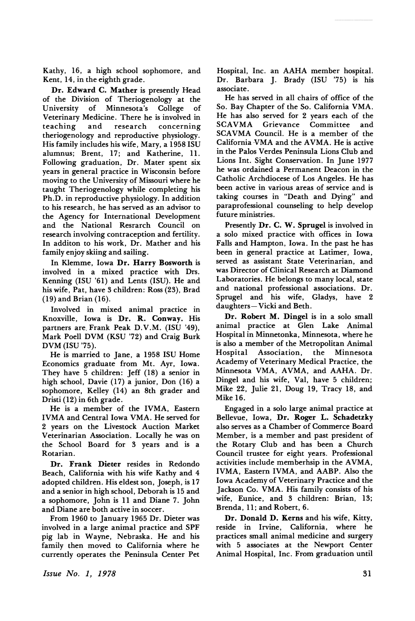Kathy, 16, a high school sophomore, and Kent, 14, in the eighth grade.

Dr. Edward C. Mather is presently Head of the Division of Theriogenology at the University of Minnesota's College of Veterinary Medicine. There he is involved in teaching and research concerning theriogenology and reproductive physiology. His family includes his wife, Mary, a 1958 ISU alumnus; Brent, 17; and Katherine, 11. Following graduation, Dr. Mater spent six years in general practice in Wisconsin before moving to the University of Missouri where he taught Theriogenology while completing his Ph.D. in reproductive physiology. In addition to his research, he has served as an advisor to the Agency for International Development and the National Resrarch Council on research involving contraception and fertility. In additon to his work, Dr. Mather and his family enjoy skiing and sailing.

In Klemme, Iowa Dr. Harry Bosworth is involved in a mixed practice with Drs. Kenning (ISU '61) and Lents (ISU). He and his wife, Pat, have 3 children: Ross (23), Brad (19) and Brian (16).

Involved in mixed animal practice in Knoxville, Iowa is Dr. R. Conway. His partners are Frank Peak D.V.M. (ISU '49), Mark Poell DVM (KSU '72) and Craig Burk DVM (ISU '75).

He is married to Jane, a 1958 ISU Home Economics graduate from Mt. Ayr, Iowa. They have 5 children: Jeff (18) a senior in high school, Davie (17) a junior, Don (16) a sophomore, Kelley (14) an 8th grader and Dristi (12) in 6th grade.

He is a member of the IVMA, Eastern IVMA and Central Iowa VMA. He served for 2 years on the Livestock Auction Market Veterinarian Association. Locally he was on the School Board for 3 years and is a Rotarian.

Dr. Frank Dieter resides in Redondo Beach, California with his wife Kathy and 4 adopted children. His eldest son, Joseph, is 17 and a senior in high school, Deborah is 15 and a sophomore, John is 11 and Diane 7. John and Diane are both active in soccer.

From 1960 to January 1965 Dr. Dieter was involved in a large animal practice and SPF pig lab in Wayne, Nebraska. He and his family then moved to California where he currently operates the Peninsula Center Pet Hospital, Inc. an AAHA member hospital. Dr. Barbara J. Brady (ISU '75) is his associate.

He has served in all chairs of office of the So. Bay Chapter of the So. California VMA. He has also served for 2 years each of the SCAVMA Grievance Committee and SCAVMA Council. He is a member of the California VMA and the AVMA. He is active in the Palos Verdes Peninsula Lions Club and Lions Int. Sight Conservation. In June 1977 he was ordained a Permanent Deacon in the Catholic Archdiocese of Los Angeles. He has been active in various areas of service and is taking courses in "Death and Dying" and paraprofessional counseling to help develop future ministries.

Presently Dr. C. W. Sprugel is involved in a solo mixed practice with offices in Iowa Falls and Hampton, Iowa. In the past he has been in general practice at Latimer, Iowa, served as assistant State Veterinarian, and was Director of Clinical Research at Diamond Laboratories. He belongs to many local, state and national professional associations. Dr. Sprugel and his wife, Gladys, have 2 daughters- Vicki and Beth.

Dr. Robert M. Dingel is in a solo small animal practice at Glen Lake Animal Hospital in Minnetonka, Minnesota, where he is also a member of the Metropolitan Animal Hospital Association, the Minnesota Academy of Veterinary Medical Practice, the Minnesota VMA, AVMA, and AAHA. Dr. Dingel and his wife, Val, have 5 children; Mike 22, Julie 21, Doug 19, Tracy 18, and Mike 16.

Engaged in a solo large animal practice at Bellevue, Iowa, Dr. Roger L. Schadetzky also serves as a Chamber of Commerce Board Member, is a member and past president of the Rotary Club and has been a Church Council trustee for eight years. Professional activities include memberhsip in the AVMA, IVMA, Eastern IVMA, and AABP. Also the Iowa Academy of Veterinary Practice and the Jackson Co. VMA. His family consists of his wife, Eunice, and 3 children: Brian, 13; Brenda, 11; and Robert, 6.

Dr. Donald D. Kerns and his wife, Kitty, reside in Irvine, California, where he practices small animal medicine and surgery with 5 associates at the Newport Center Animal Hospital, Inc. From graduation until

*Issue No.1, 1978*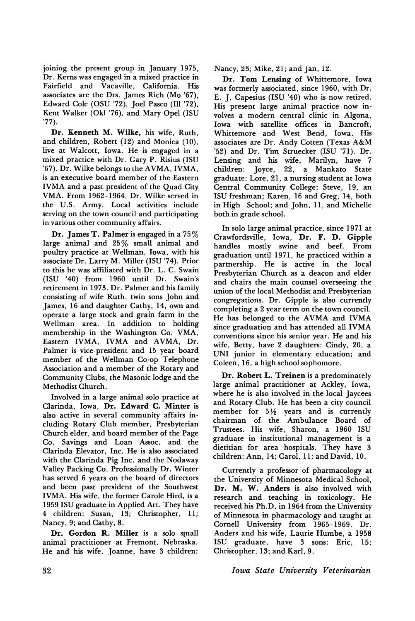joining the present group in January 1975, Dr. Kerns was engaged in a mixed practice in Fairfield and Vacaville, California. His associates are the Drs. James Rich (Mo '67), Edward Cole (OSU '72), Joel Pasco (Ill '72), Kent Walker (Okl '76), and Mary Opel (ISU '77).

Dr. Kenneth M. Wilke, his wife, Ruth, and children, Robert (12) and Monica (10), live at Walcott, Iowa. He is engaged in a mixed practice with Dr. Gary P. Risius (ISU '67). Dr. Wilke belongs to the AVMA, IVMA, is an executive board member of the Eastern IVMA and a past president of the Quad City VMA. From 1962-1964, Dr. Wilke served in the U.S. Army. Local activities include serving on the town council and participating in various other community affairs.

Dr. James T. Palmer is engaged in a 75% large animal and 25% small animal and poultry practice at Wellman, Iowa, with his associate Dr. Larry M. Miller (ISU '74). Prior to this he was affiliated with Dr. L. C. Swain (ISU '40) from 1960 until Dr. Swain's retirement in 1973. Dr. Palmer and his family consisting of wife Ruth, twin sons John and James, 16 and daughter Cathy, 14, own and operate a large stock and grain farm in the Wellman area. In addition to holding membership in the Washington Co. VMA, Eastern IVMA, IVMA and AVMA, Dr. Palmer is vice-president and 15 year board member of the Wellman Co-op Telephone Association and a member of the Rotary and Community Clubs, the Masonic lodge and the Methodist Church.

Involved in a large animal solo practice at Clarinda, Iowa, Dr. Edward C. Minter is also active in several community affairs including Rotary Club member, Presbyterian Church elder, and board member of the Page Co. Savings and Loan Assoc. and the Clarinda Elevator, Inc. He is also associated with the Clarinda Pig Inc. and the Nodaway Valley Packing Co. Professionally Dr. Winter has served 6 years on the board of directors and been past president of the Southwest IVMA. His wife, the former Carole Hird, is a 1959 ISU graduate in Applied Art. They have 4 children: Susan, 13; Christopher, 11; Nancy, 9; and Cathy, 8.

Dr. Gordon R. Miller is a solo small animal practitioner at Fremont, Nebraska. He and his wife, Joanne, have 3 children:

Nancy, 23; Mike, 21; and Jan, 12.

Dr. Tom Lensing of Whittemore, Iowa was formerly associated, since 1960, with Dr. E. J. Capesius (ISU '40) who is now retired. His present large animal practice now involves a modern central clinic in Algona, Iowa with satellite offices in Bancroft, Whittemore and West Bend, Iowa. His associates are Dr. Andy Cotten (Texas A&M '52) and Dr. Tim Struecker (ISU '71). Dr. Lensing and his wife, Marilyn, have 7 children: Joyce, 22, a Mankato State graduate; Lore, 21, a nursing student at Iowa Central Community College; Steve, 19, an ISU freshman; Karen, 16 and Greg, 14, both in High School; and John, 11, and Michelle both in grade school.

In solo large animal practice, since 1971 at Crawfordsville, Iowa, Dr. F. D. Gipple handles mostly swine and beef. From graduation until 1971, he practiced within a partnership. He is active in the local Presbyterian Church as a deacon and elder and chairs the main counsel overseeing the union of the local Methodist and Presbyterian congregations. Dr. Gipple is also currently completing a 2 year term on the town council. He has belonged to the AVMA and IVMA since graduation and has attended all IVMA conventions since his senior year. He and his wife, Betty, have 2 daughters: Cindy, 20, a UNI junior in elementary education; and Coleen, 16, a high school sophomore.

Dr. Robert L. Treinen is a predominately large animal practitioner at Ackley, Iowa, where he is also involved in the local Jaycees and Rotary Club. He has been a city council member for  $5\frac{1}{2}$  years and is currently chairman of the Ambulance Board of Trustees. His wife, Sharon, a 1960 ISU graduate in institutional management is a dietitian for area hospitals. They have 3 children: Ann, 14; Carol, 11; and David, 10.

Currently a professor of pharmacology at the University of Minnesota Medical School, Dr. M. W. Anders is also involved with research and teaching in toxicology. He received his Ph.D. in 1964 from the University of Minnesota in pharmacology and taught at Cornell University from 1965-1969. Dr. Anders and his wife, Laurie Humbe, a 1958 ISU graduate, have 3 sons: Eric, 15; Christopher, 13; and Karl, 9.